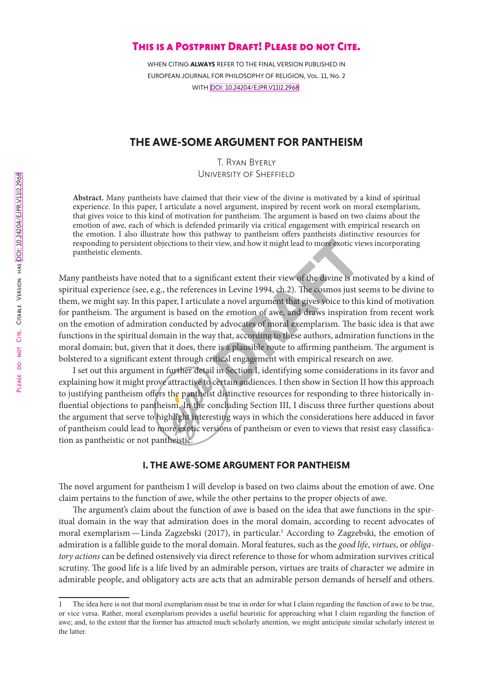# PLEASE DO NOT CITE. CITABLE VERSION HAS DOI: 10.24204/EJPR.V1112.2968 [DOI: 10.24204/EJPR.V11I2.2968](https://doi.org/10.24204/ejpr.v11i2.2968) Please do not Cite. Citable Version has

# This is a Postprint Draft! Please do not Cite.

WHEN CITING **ALWAYS** REFER TO THE FINAL VERSION PUBLISHED IN EUROPEAN JOURNAL FOR PHILOSOPHY OF RELIGION, Vol. 11, No. 2 WITH [DOI: 10.24204/EJPR.V11I2.2968](https://doi.org/10.24204/ejpr.v11i2.2968)

# THE AWE-SOME ARGUMENT FOR PANTHEISM

T. Ryan Byerly University of Sheffield

**Abstract.** Many pantheists have claimed that their view of the divine is motivated by a kind of spiritual experience. In this paper, I articulate a novel argument, inspired by recent work on moral exemplarism, that gives voice to this kind of motivation for pantheism. The argument is based on two claims about the emotion of awe, each of which is defended primarily via critical engagement with empirical research on the emotion. I also illustrate how this pathway to pantheism offers pantheists distinctive resources for responding to persistent objections to their view, and how it might lead to more exotic views incorporating pantheistic elements.

r view, and how it might lead to more exotic vi<br>ficant extent their view of the divine is mess in Levine 1994, ch.2). The cosmos just s<br>te a novel argument that gives voice to thi<br>the emotion of awe, and draws inspiratic<br>b Many pantheists have noted that to a significant extent their view of the divine is motivated by a kind of spiritual experience (see, e.g., the references in Levine 1994, ch.2). The cosmos just seems to be divine to them, we might say. In this paper, I articulate a novel argument that gives voice to this kind of motivation for pantheism. The argument is based on the emotion of awe, and draws inspiration from recent work on the emotion of admiration conducted by advocates of moral exemplarism. The basic idea is that awe functions in the spiritual domain in the way that, according to these authors, admiration functions in the moral domain; but, given that it does, there is a plausible route to affirming pantheism. The argument is bolstered to a significant extent through critical engagement with empirical research on awe.

I set out this argument in further detail in Section I, identifying some considerations in its favor and explaining how it might prove attractive to certain audiences. I then show in Section II how this approach to justifying pantheism offers the pantheist distinctive resources for responding to three historically influential objections to pantheism. In the concluding Section III, I discuss three further questions about the argument that serve to highlight interesting ways in which the considerations here adduced in favor of pantheism could lead to more exotic versions of pantheism or even to views that resist easy classification as pantheistic or not pantheistic.

# I. THE AWE-SOME ARGUMENT FOR PANTHEISM

The novel argument for pantheism I will develop is based on two claims about the emotion of awe. One claim pertains to the function of awe, while the other pertains to the proper objects of awe.

The argument's claim about the function of awe is based on the idea that awe functions in the spiritual domain in the way that admiration does in the moral domain, according to recent advocates of moral exemplarism—Linda Zagzebski (2017), in particular.1 According to Zagzebski, the emotion of admiration is a fallible guide to the moral domain. Moral features, such as the *good life*, *virtues*, or *obligatory actions* can be defined ostensively via direct reference to those for whom admiration survives critical scrutiny. The good life is a life lived by an admirable person, virtues are traits of character we admire in admirable people, and obligatory acts are acts that an admirable person demands of herself and others.

<sup>1</sup> The idea here is not that moral exemplarism must be true in order for what I claim regarding the function of awe to be true, or vice versa. Rather, moral exemplarism provides a useful heuristic for approaching what I claim regarding the function of awe; and, to the extent that the former has attracted much scholarly attention, we might anticipate similar scholarly interest in the latter.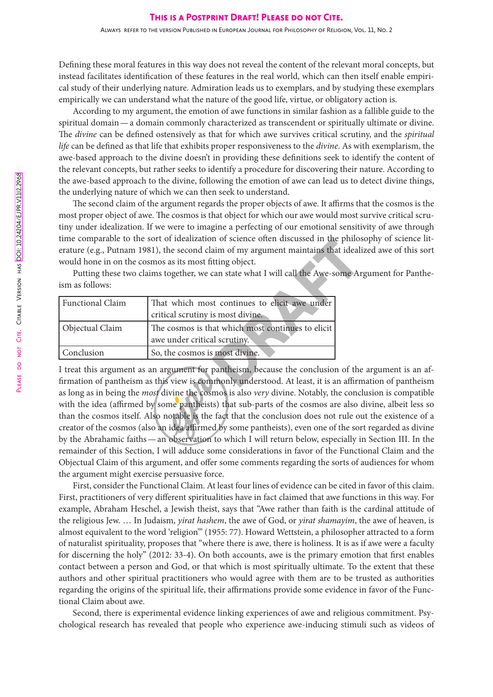Defining these moral features in this way does not reveal the content of the relevant moral concepts, but instead facilitates identification of these features in the real world, which can then itself enable empirical study of their underlying nature. Admiration leads us to exemplars, and by studying these exemplars empirically we can understand what the nature of the good life, virtue, or obligatory action is.

According to my argument, the emotion of awe functions in similar fashion as a fallible guide to the spiritual domain—a domain commonly characterized as transcendent or spiritually ultimate or divine. The *divine* can be defined ostensively as that for which awe survives critical scrutiny, and the *spiritual life* can be defined as that life that exhibits proper responsiveness to the *divine*. As with exemplarism, the awe-based approach to the divine doesn't in providing these definitions seek to identify the content of the relevant concepts, but rather seeks to identify a procedure for discovering their nature. According to the awe-based approach to the divine, following the emotion of awe can lead us to detect divine things, the underlying nature of which we can then seek to understand.

The second claim of the argument regards the proper objects of awe. It affirms that the cosmos is the most proper object of awe. The cosmos is that object for which our awe would most survive critical scrutiny under idealization. If we were to imagine a perfecting of our emotional sensitivity of awe through time comparable to the sort of idealization of science often discussed in the philosophy of science literature (e.g., Putnam 1981), the second claim of my argument maintains that idealized awe of this sort would hone in on the cosmos as its most fitting object.

Putting these two claims together, we can state what I will call the Awe-some Argument for Pantheism as follows:

| time comparable to the sort of idealization of science often discussed in the prino |                                                                                                                                                                            |  |
|-------------------------------------------------------------------------------------|----------------------------------------------------------------------------------------------------------------------------------------------------------------------------|--|
| erature (e.g., Putnam 1981), the second claim of my argument maintains that ideal   |                                                                                                                                                                            |  |
|                                                                                     | would hone in on the cosmos as its most fitting object.                                                                                                                    |  |
| Putting these two claims together, we can state what I will call the Awe-some A     |                                                                                                                                                                            |  |
| ism as follows:                                                                     |                                                                                                                                                                            |  |
| <b>Functional Claim</b>                                                             | That which most continues to elicit awe under                                                                                                                              |  |
|                                                                                     | critical scrutiny is most divine.                                                                                                                                          |  |
| Objectual Claim                                                                     | The cosmos is that which most continues to elicit                                                                                                                          |  |
|                                                                                     | awe under critical scrutiny.                                                                                                                                               |  |
| Conclusion                                                                          | So, the cosmos is most divine.                                                                                                                                             |  |
|                                                                                     | I treat this argument as an argument for pantheism, because the conclusion of the<br>firmation of pantheism as this view is commonly understood. At least, it is an affirm |  |
|                                                                                     |                                                                                                                                                                            |  |

I treat this argument as an argument for pantheism, because the conclusion of the argument is an affirmation of pantheism as this view is commonly understood. At least, it is an affirmation of pantheism as long as in being the *most* divine the cosmos is also *very* divine. Notably, the conclusion is compatible with the idea (affirmed by some pantheists) that sub-parts of the cosmos are also divine, albeit less so than the cosmos itself. Also notable is the fact that the conclusion does not rule out the existence of a creator of the cosmos (also an idea affirmed by some pantheists), even one of the sort regarded as divine by the Abrahamic faiths—an observation to which I will return below, especially in Section III. In the remainder of this Section, I will adduce some considerations in favor of the Functional Claim and the Objectual Claim of this argument, and offer some comments regarding the sorts of audiences for whom the argument might exercise persuasive force.

First, consider the Functional Claim. At least four lines of evidence can be cited in favor of this claim. First, practitioners of very different spiritualities have in fact claimed that awe functions in this way. For example, Abraham Heschel, a Jewish theist, says that "Awe rather than faith is the cardinal attitude of the religious Jew. … In Judaism, *yirat hashem*, the awe of God, or *yirat shamayim*, the awe of heaven, is almost equivalent to the word 'religion'" (1955: 77). Howard Wettstein, a philosopher attracted to a form of naturalist spirituality, proposes that "where there is awe, there is holiness. It is as if awe were a faculty for discerning the holy" (2012: 33-4). On both accounts, awe is the primary emotion that first enables contact between a person and God, or that which is most spiritually ultimate. To the extent that these authors and other spiritual practitioners who would agree with them are to be trusted as authorities regarding the origins of the spiritual life, their affirmations provide some evidence in favor of the Functional Claim about awe.

Second, there is experimental evidence linking experiences of awe and religious commitment. Psychological research has revealed that people who experience awe-inducing stimuli such as videos of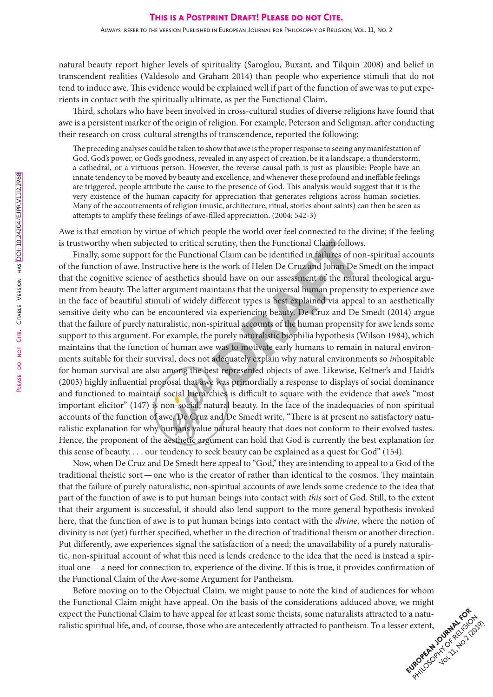natural beauty report higher levels of spirituality (Saroglou, Buxant, and Tilquin 2008) and belief in transcendent realities (Valdesolo and Graham 2014) than people who experience stimuli that do not tend to induce awe. This evidence would be explained well if part of the function of awe was to put experients in contact with the spiritually ultimate, as per the Functional Claim.

Third, scholars who have been involved in cross-cultural studies of diverse religions have found that awe is a persistent marker of the origin of religion. For example, Peterson and Seligman, after conducting their research on cross-cultural strengths of transcendence, reported the following:

The preceding analyses could be taken to show that awe is the proper response to seeing any manifestation of God, God's power, or God's goodness, revealed in any aspect of creation, be it a landscape, a thunderstorm, a cathedral, or a virtuous person. However, the reverse causal path is just as plausible: People have an innate tendency to be moved by beauty and excellence, and whenever these profound and ineffable feelings are triggered, people attribute the cause to the presence of God. This analysis would suggest that it is the very existence of the human capacity for appreciation that generates religions across human societies. Many of the accoutrements of religion (music, architecture, ritual, stories about saints) can then be seen as attempts to amplify these feelings of awe-filled appreciation. (2004: 542-3)

Awe is that emotion by virtue of which people the world over feel connected to the divine; if the feeling is trustworthy when subjected to critical scrutiny, then the Functional Claim follows.

crutiny, then the Functional Claim follow<br>al Claim can be identified in failures of nc<br>he work of Helen De Cruz and Johan De &<br>ould have on our assessment of the natui<br>intains that the universal human propensi<br>different ty Finally, some support for the Functional Claim can be identified in failures of non-spiritual accounts of the function of awe. Instructive here is the work of Helen De Cruz and Johan De Smedt on the impact that the cognitive science of aesthetics should have on our assessment of the natural theological argument from beauty. The latter argument maintains that the universal human propensity to experience awe in the face of beautiful stimuli of widely different types is best explained via appeal to an aesthetically sensitive deity who can be encountered via experiencing beauty. De Cruz and De Smedt (2014) argue that the failure of purely naturalistic, non-spiritual accounts of the human propensity for awe lends some support to this argument. For example, the purely naturalistic biophilia hypothesis (Wilson 1984), which maintains that the function of human awe was to motivate early humans to remain in natural environments suitable for their survival, does not adequately explain why natural environments so *in*hospitable for human survival are also among the best represented objects of awe. Likewise, Keltner's and Haidt's (2003) highly influential proposal that awe was primordially a response to displays of social dominance and functioned to maintain social hierarchies is difficult to square with the evidence that awe's "most important elicitor" (147) is non-social, natural beauty. In the face of the inadequacies of non-spiritual accounts of the function of awe, De Cruz and De Smedt write, "There is at present no satisfactory naturalistic explanation for why humans value natural beauty that does not conform to their evolved tastes. Hence, the proponent of the aesthetic argument can hold that God is currently the best explanation for this sense of beauty. . . . our tendency to seek beauty can be explained as a quest for God" (154).

Now, when De Cruz and De Smedt here appeal to "God," they are intending to appeal to a God of the traditional theistic sort—one who is the creator of rather than identical to the cosmos. They maintain that the failure of purely naturalistic, non-spiritual accounts of awe lends some credence to the idea that part of the function of awe is to put human beings into contact with *this* sort of God. Still, to the extent that their argument is successful, it should also lend support to the more general hypothesis invoked here, that the function of awe is to put human beings into contact with the *divine*, where the notion of divinity is not (yet) further specified, whether in the direction of traditional theism or another direction. Put differently, awe experiences signal the satisfaction of a need; the unavailability of a purely naturalistic, non-spiritual account of what this need is lends credence to the idea that the need is instead a spiritual one—a need for connection to, experience of the divine. If this is true, it provides confirmation of the Functional Claim of the Awe-some Argument for Pantheism.

EUROPEAN JOURNAL FOR HIS CORN PARK CORN PARK Before moving on to the Objectual Claim, we might pause to note the kind of audiences for whom the Functional Claim might have appeal. On the basis of the considerations adduced above, we might expect the Functional Claim to have appeal for at least some theists, some naturalists attracted to a naturalistic spiritual life, and, of course, those who are antecedently attracted to pantheism. To a lesser extent,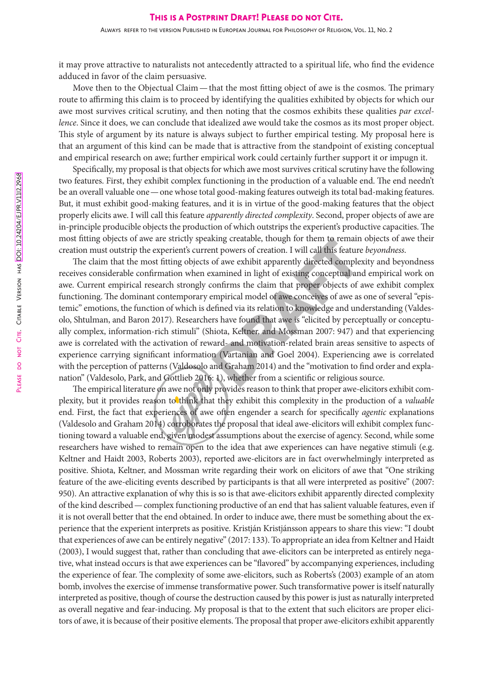it may prove attractive to naturalists not antecedently attracted to a spiritual life, who find the evidence adduced in favor of the claim persuasive.

Move then to the Objectual Claim—that the most fitting object of awe is the cosmos. The primary route to affirming this claim is to proceed by identifying the qualities exhibited by objects for which our awe most survives critical scrutiny, and then noting that the cosmos exhibits these qualities *par excellence*. Since it does, we can conclude that idealized awe would take the cosmos as its most proper object. This style of argument by its nature is always subject to further empirical testing. My proposal here is that an argument of this kind can be made that is attractive from the standpoint of existing conceptual and empirical research on awe; further empirical work could certainly further support it or impugn it.

Specifically, my proposal is that objects for which awe most survives critical scrutiny have the following two features. First, they exhibit complex functioning in the production of a valuable end. The end needn't be an overall valuable one—one whose total good-making features outweigh its total bad-making features. But, it must exhibit good-making features, and it is in virtue of the good-making features that the object properly elicits awe. I will call this feature *apparently directed complexity*. Second, proper objects of awe are in-principle producible objects the production of which outstrips the experient's productive capacities. The most fitting objects of awe are strictly speaking creatable, though for them to remain objects of awe their creation must outstrip the experient's current powers of creation. I will call this feature *beyondness*.

King creatable, though for them to remain<br>of awe exhibit apparently directed comple<br>xamined in light of existing conceptual an<br>onfirms the claim that proper objects of<br>empirical model of awe conceives of awe as<br>efined via The claim that the most fitting objects of awe exhibit apparently directed complexity and beyondness receives considerable confirmation when examined in light of existing conceptual and empirical work on awe. Current empirical research strongly confirms the claim that proper objects of awe exhibit complex functioning. The dominant contemporary empirical model of awe conceives of awe as one of several "epistemic" emotions, the function of which is defined via its relation to knowledge and understanding (Valdesolo, Shtulman, and Baron 2017). Researchers have found that awe is "elicited by perceptually or conceptually complex, information-rich stimuli" (Shiota, Keltner, and Mossman 2007: 947) and that experiencing awe is correlated with the activation of reward- and motivation-related brain areas sensitive to aspects of experience carrying significant information (Vartanian and Goel 2004). Experiencing awe is correlated with the perception of patterns (Valdosolo and Graham 2014) and the "motivation to find order and explanation" (Valdesolo, Park, and Gottlieb 2016: 1), whether from a scientific or religious source.

The empirical literature on awe not only provides reason to think that proper awe-elicitors exhibit complexity, but it provides reason to think that they exhibit this complexity in the production of a *valuable* end. First, the fact that experiences of awe often engender a search for specifically *agentic* explanations (Valdesolo and Graham 2014) corroborates the proposal that ideal awe-elicitors will exhibit complex functioning toward a valuable end, given modest assumptions about the exercise of agency. Second, while some researchers have wished to remain open to the idea that awe experiences can have negative stimuli (e.g. Keltner and Haidt 2003, Roberts 2003), reported awe-elicitors are in fact overwhelmingly interpreted as positive. Shiota, Keltner, and Mossman write regarding their work on elicitors of awe that "One striking feature of the awe-eliciting events described by participants is that all were interpreted as positive" (2007: 950). An attractive explanation of why this is so is that awe-elicitors exhibit apparently directed complexity of the kind described—complex functioning productive of an end that has salient valuable features, even if it is not overall better that the end obtained. In order to induce awe, there must be something about the experience that the experient interprets as positive. Kristján Kristjánsson appears to share this view: "I doubt that experiences of awe can be entirely negative" (2017: 133). To appropriate an idea from Keltner and Haidt (2003), I would suggest that, rather than concluding that awe-elicitors can be interpreted as entirely negative, what instead occurs is that awe experiences can be "flavored" by accompanying experiences, including the experience of fear. The complexity of some awe-elicitors, such as Roberts's (2003) example of an atom bomb, involves the exercise of immense transformative power. Such transformative power is itself naturally interpreted as positive, though of course the destruction caused by this power is just as naturally interpreted as overall negative and fear-inducing. My proposal is that to the extent that such elicitors are proper elicitors of awe, it is because of their positive elements. The proposal that proper awe-elicitors exhibit apparently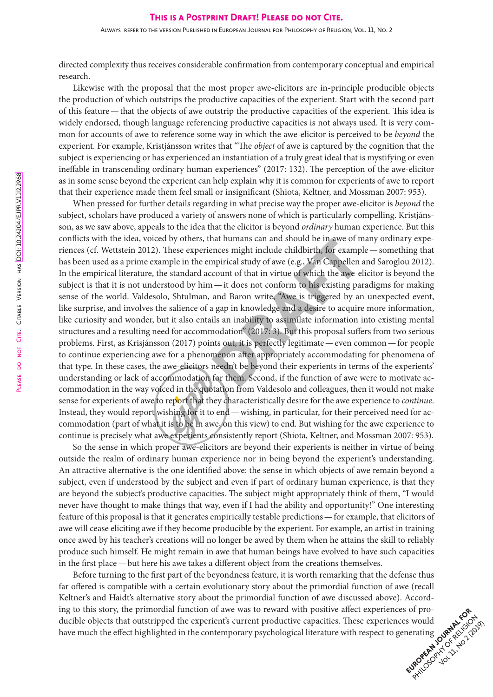directed complexity thus receives considerable confirmation from contemporary conceptual and empirical research.

Likewise with the proposal that the most proper awe-elicitors are in-principle producible objects the production of which outstrips the productive capacities of the experient. Start with the second part of this feature—that the objects of awe outstrip the productive capacities of the experient. This idea is widely endorsed, though language referencing productive capacities is not always used. It is very common for accounts of awe to reference some way in which the awe-elicitor is perceived to be *beyond* the experient. For example, Kristjánsson writes that "The *object* of awe is captured by the cognition that the subject is experiencing or has experienced an instantiation of a truly great ideal that is mystifying or even ineffable in transcending ordinary human experiences" (2017: 132). The perception of the awe-elicitor as in some sense beyond the experient can help explain why it is common for experients of awe to report that their experience made them feel small or insignificant (Shiota, Keltner, and Mossman 2007: 953).

at numans can and should be in awe of r<br>ences might include childbirth, for examp<br>mpirical study of awe (e.g., Van Cappellen<br>count of that in virtue of which the awe-e<br> $a$ —it does not conform to his existing pa<br>and Baron When pressed for further details regarding in what precise way the proper awe-elicitor is *beyond* the subject, scholars have produced a variety of answers none of which is particularly compelling. Kristjánsson, as we saw above, appeals to the idea that the elicitor is beyond *ordinary* human experience. But this conflicts with the idea, voiced by others, that humans can and should be in awe of many ordinary experiences (cf. Wettstein 2012). These experiences might include childbirth, for example—something that has been used as a prime example in the empirical study of awe (e.g., Van Cappellen and Saroglou 2012). In the empirical literature, the standard account of that in virtue of which the awe-elicitor is beyond the subject is that it is not understood by him—it does not conform to his existing paradigms for making sense of the world. Valdesolo, Shtulman, and Baron write, "Awe is triggered by an unexpected event, like surprise, and involves the salience of a gap in knowledge and a desire to acquire more information, like curiosity and wonder, but it also entails an inability to assimilate information into existing mental structures and a resulting need for accommodation" (2017: 3). But this proposal suffers from two serious problems. First, as Krisjánsson (2017) points out, it is perfectly legitimate—even common—for people to continue experiencing awe for a phenomenon after appropriately accommodating for phenomena of that type. In these cases, the awe-elicitors needn't be beyond their experients in terms of the experients' understanding or lack of accommodation for them. Second, if the function of awe were to motivate accommodation in the way voiced in the quotation from Valdesolo and colleagues, then it would not make sense for experients of awe to report that they characteristically desire for the awe experience to *continue*. Instead, they would report wishing for it to end—wishing, in particular, for their perceived need for accommodation (part of what it is to be in awe, on this view) to end. But wishing for the awe experience to continue is precisely what awe experients consistently report (Shiota, Keltner, and Mossman 2007: 953).

So the sense in which proper awe-elicitors are beyond their experients is neither in virtue of being outside the realm of ordinary human experience nor in being beyond the experient's understanding. An attractive alternative is the one identified above: the sense in which objects of awe remain beyond a subject, even if understood by the subject and even if part of ordinary human experience, is that they are beyond the subject's productive capacities. The subject might appropriately think of them, "I would never have thought to make things that way, even if I had the ability and opportunity!" One interesting feature of this proposal is that it generates empirically testable predictions—for example, that elicitors of awe will cease eliciting awe if they become producible by the experient. For example, an artist in training once awed by his teacher's creations will no longer be awed by them when he attains the skill to reliably produce such himself. He might remain in awe that human beings have evolved to have such capacities in the first place—but here his awe takes a different object from the creations themselves.

European Journal For Religion Before turning to the first part of the beyondness feature, it is worth remarking that the defense thus far offered is compatible with a certain evolutionary story about the primordial function of awe (recall Keltner's and Haidt's alternative story about the primordial function of awe discussed above). According to this story, the primordial function of awe was to reward with positive affect experiences of producible objects that outstripped the experient's current productive capacities. These experiences would have much the effect highlighted in the contemporary psychological literature with respect to generating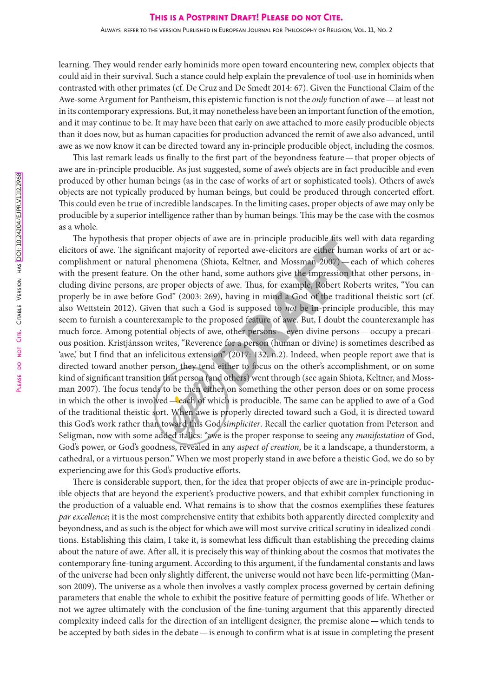Always refer to the version Published in European Journal for Philosophy of Religion, Vol. 11, No. 2

learning. They would render early hominids more open toward encountering new, complex objects that could aid in their survival. Such a stance could help explain the prevalence of tool-use in hominids when contrasted with other primates (cf. De Cruz and De Smedt 2014: 67). Given the Functional Claim of the Awe-some Argument for Pantheism, this epistemic function is not the *only* function of awe—at least not in its contemporary expressions. But, it may nonetheless have been an important function of the emotion, and it may continue to be. It may have been that early on awe attached to more easily producible objects than it does now, but as human capacities for production advanced the remit of awe also advanced, until awe as we now know it can be directed toward any in-principle producible object, including the cosmos.

This last remark leads us finally to the first part of the beyondness feature—that proper objects of awe are in-principle producible. As just suggested, some of awe's objects are in fact producible and even produced by other human beings (as in the case of works of art or sophisticated tools). Others of awe's objects are not typically produced by human beings, but could be produced through concerted effort. This could even be true of incredible landscapes. In the limiting cases, proper objects of awe may only be producible by a superior intelligence rather than by human beings. This may be the case with the cosmos as a whole.

awe are in-principle producible its well<br>of reported awe-elicitors are either humar<br>iota, Keltner, and Mossman 2007) — ead<br>nd, some authors give the impression thas<br>of awe. Thus, for example, Robert Robe<br>of sof awe. Thus, The hypothesis that proper objects of awe are in-principle producible fits well with data regarding elicitors of awe. The significant majority of reported awe-elicitors are either human works of art or accomplishment or natural phenomena (Shiota, Keltner, and Mossman 2007)—each of which coheres with the present feature. On the other hand, some authors give the impression that other persons, including divine persons, are proper objects of awe. Thus, for example, Robert Roberts writes, "You can properly be in awe before God" (2003: 269), having in mind a God of the traditional theistic sort (cf. also Wettstein 2012). Given that such a God is supposed to *not* be in-principle producible, this may seem to furnish a counterexample to the proposed feature of awe. But, I doubt the counterexample has much force. Among potential objects of awe, other persons—even divine persons—occupy a precarious position. Kristjánsson writes, "Reverence for a person (human or divine) is sometimes described as 'awe,' but I find that an infelicitous extension" (2017: 132, n.2). Indeed, when people report awe that is directed toward another person, they tend either to focus on the other's accomplishment, or on some kind of significant transition that person (and others) went through (see again Shiota, Keltner, and Mossman 2007). The focus tends to be then either on something the other person does or on some process in which the other is involved—each of which is producible. The same can be applied to awe of a God of the traditional theistic sort. When awe is properly directed toward such a God, it is directed toward this God's work rather than toward this God *simpliciter*. Recall the earlier quotation from Peterson and Seligman, now with some added italics: "awe is the proper response to seeing any *manifestation* of God, God's power, or God's goodness, revealed in any *aspect of creation*, be it a landscape, a thunderstorm, a cathedral, or a virtuous person." When we most properly stand in awe before a theistic God, we do so by experiencing awe for this God's productive efforts.

There is considerable support, then, for the idea that proper objects of awe are in-principle producible objects that are beyond the experient's productive powers, and that exhibit complex functioning in the production of a valuable end. What remains is to show that the cosmos exemplifies these features *par excellence*; it is the most comprehensive entity that exhibits both apparently directed complexity and beyondness, and as such is the object for which awe will most survive critical scrutiny in idealized conditions. Establishing this claim, I take it, is somewhat less difficult than establishing the preceding claims about the nature of awe. After all, it is precisely this way of thinking about the cosmos that motivates the contemporary fine-tuning argument. According to this argument, if the fundamental constants and laws of the universe had been only slightly different, the universe would not have been life-permitting (Manson 2009). The universe as a whole then involves a vastly complex process governed by certain defining parameters that enable the whole to exhibit the positive feature of permitting goods of life. Whether or not we agree ultimately with the conclusion of the fine-tuning argument that this apparently directed complexity indeed calls for the direction of an intelligent designer, the premise alone—which tends to be accepted by both sides in the debate—is enough to confirm what is at issue in completing the present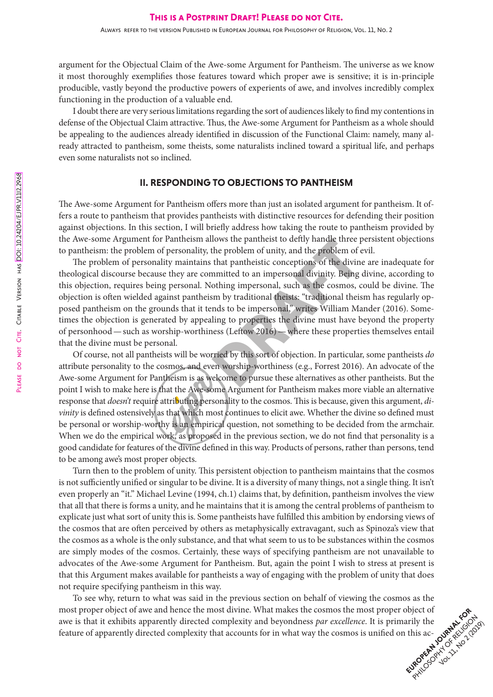argument for the Objectual Claim of the Awe-some Argument for Pantheism. The universe as we know it most thoroughly exemplifies those features toward which proper awe is sensitive; it is in-principle producible, vastly beyond the productive powers of experients of awe, and involves incredibly complex functioning in the production of a valuable end.

I doubt there are very serious limitations regarding the sort of audiences likely to find my contentions in defense of the Objectual Claim attractive. Thus, the Awe-some Argument for Pantheism as a whole should be appealing to the audiences already identified in discussion of the Functional Claim: namely, many already attracted to pantheism, some theists, some naturalists inclined toward a spiritual life, and perhaps even some naturalists not so inclined.

## II. RESPONDING TO OBJECTIONS TO PANTHEISM

The Awe-some Argument for Pantheism offers more than just an isolated argument for pantheism. It offers a route to pantheism that provides pantheists with distinctive resources for defending their position against objections. In this section, I will briefly address how taking the route to pantheism provided by the Awe-some Argument for Pantheism allows the pantheist to deftly handle three persistent objections to pantheism: the problem of personality, the problem of unity, and the problem of evil.

nows the pantneist to dertry nande three p<br>the problem of unity, and the problem of<br>that pantheistic conceptions of the divin<br>mmitted to an impersonal divinity. Being<br>othing impersonal, such as the cosmos, or<br>m by traditio The problem of personality maintains that pantheistic conceptions of the divine are inadequate for theological discourse because they are committed to an impersonal divinity. Being divine, according to this objection, requires being personal. Nothing impersonal, such as the cosmos, could be divine. The objection is often wielded against pantheism by traditional theists: "traditional theism has regularly opposed pantheism on the grounds that it tends to be impersonal," writes William Mander (2016). Sometimes the objection is generated by appealing to properties the divine must have beyond the property of personhood—such as worship-worthiness (Leftow 2016)—where these properties themselves entail that the divine must be personal.

Of course, not all pantheists will be worried by this sort of objection. In particular, some pantheists *do*  attribute personality to the cosmos, and even worship-worthiness (e.g., Forrest 2016). An advocate of the Awe-some Argument for Pantheism is as welcome to pursue these alternatives as other pantheists. But the point I wish to make here is that the Awe-some Argument for Pantheism makes more viable an alternative response that *doesn't* require attributing personality to the cosmos. This is because, given this argument, *divinity* is defined ostensively as that which most continues to elicit awe. Whether the divine so defined must be personal or worship-worthy is an empirical question, not something to be decided from the armchair. When we do the empirical work, as proposed in the previous section, we do not find that personality is a good candidate for features of the divine defined in this way. Products of persons, rather than persons, tend to be among awe's most proper objects.

Turn then to the problem of unity. This persistent objection to pantheism maintains that the cosmos is not sufficiently unified or singular to be divine. It is a diversity of many things, not a single thing. It isn't even properly an "it." Michael Levine (1994, ch.1) claims that, by definition, pantheism involves the view that all that there is forms a unity, and he maintains that it is among the central problems of pantheism to explicate just what sort of unity this is. Some pantheists have fulfilled this ambition by endorsing views of the cosmos that are often perceived by others as metaphysically extravagant, such as Spinoza's view that the cosmos as a whole is the only substance, and that what seem to us to be substances within the cosmos are simply modes of the cosmos. Certainly, these ways of specifying pantheism are not unavailable to advocates of the Awe-some Argument for Pantheism. But, again the point I wish to stress at present is that this Argument makes available for pantheists a way of engaging with the problem of unity that does not require specifying pantheism in this way.

European Journal Formulation To see why, return to what was said in the previous section on behalf of viewing the cosmos as the most proper object of awe and hence the most divine. What makes the cosmos the most proper object of awe is that it exhibits apparently directed complexity and beyondness *par excellence*. It is primarily the feature of apparently directed complexity that accounts for in what way the cosmos is unified on this ac-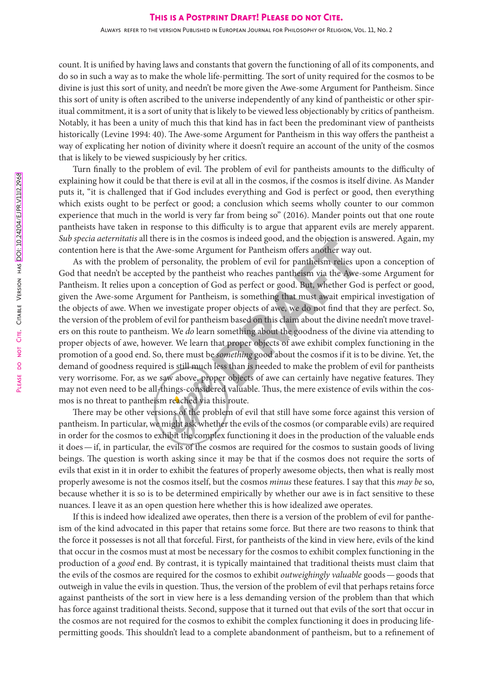Always refer to the version Published in European Journal for Philosophy of Religion, Vol. 11, No. 2

count. It is unified by having laws and constants that govern the functioning of all of its components, and do so in such a way as to make the whole life-permitting. The sort of unity required for the cosmos to be divine is just this sort of unity, and needn't be more given the Awe-some Argument for Pantheism. Since this sort of unity is often ascribed to the universe independently of any kind of pantheistic or other spiritual commitment, it is a sort of unity that is likely to be viewed less objectionably by critics of pantheism. Notably, it has been a unity of much this that kind has in fact been the predominant view of pantheists historically (Levine 1994: 40). The Awe-some Argument for Pantheism in this way offers the pantheist a way of explicating her notion of divinity where it doesn't require an account of the unity of the cosmos that is likely to be viewed suspiciously by her critics.

Turn finally to the problem of evil. The problem of evil for pantheists amounts to the difficulty of explaining how it could be that there is evil at all in the cosmos, if the cosmos is itself divine. As Mander puts it, "it is challenged that if God includes everything and God is perfect or good, then everything which exists ought to be perfect or good; a conclusion which seems wholly counter to our common experience that much in the world is very far from being so" (2016). Mander points out that one route pantheists have taken in response to this difficulty is to argue that apparent evils are merely apparent. *Sub specia aeternitatis* all there is in the cosmos is indeed good, and the objection is answered. Again, my contention here is that the Awe-some Argument for Pantheism offers another way out.

all the cost of the problem of the context of the problem of the state and the objection is a<br>timent for Pantheism offers another way c<br>neist who reaches pantheism via the Awe-<br>God as perfect or good. But, whether Go<br>eism, As with the problem of personality, the problem of evil for pantheism relies upon a conception of God that needn't be accepted by the pantheist who reaches pantheism via the Awe-some Argument for Pantheism. It relies upon a conception of God as perfect or good. But, whether God is perfect or good, given the Awe-some Argument for Pantheism, is something that must await empirical investigation of the objects of awe. When we investigate proper objects of awe, we do not find that they are perfect. So, the version of the problem of evil for pantheism based on this claim about the divine needn't move travelers on this route to pantheism. We *do* learn something about the goodness of the divine via attending to proper objects of awe, however. We learn that proper objects of awe exhibit complex functioning in the promotion of a good end. So, there must be *something* good about the cosmos if it is to be divine. Yet, the demand of goodness required is still much less than is needed to make the problem of evil for pantheists very worrisome. For, as we saw above, proper objects of awe can certainly have negative features. They may not even need to be all-things-considered valuable. Thus, the mere existence of evils within the cosmos is no threat to pantheism reached via this route.

There may be other versions of the problem of evil that still have some force against this version of pantheism. In particular, we might ask whether the evils of the cosmos (or comparable evils) are required in order for the cosmos to exhibit the complex functioning it does in the production of the valuable ends it does—if, in particular, the evils of the cosmos are required for the cosmos to sustain goods of living beings. The question is worth asking since it may be that if the cosmos does not require the sorts of evils that exist in it in order to exhibit the features of properly awesome objects, then what is really most properly awesome is not the cosmos itself, but the cosmos *minus* these features. I say that this *may be* so, because whether it is so is to be determined empirically by whether our awe is in fact sensitive to these nuances. I leave it as an open question here whether this is how idealized awe operates.

If this is indeed how idealized awe operates, then there is a version of the problem of evil for pantheism of the kind advocated in this paper that retains some force. But there are two reasons to think that the force it possesses is not all that forceful. First, for pantheists of the kind in view here, evils of the kind that occur in the cosmos must at most be necessary for the cosmos to exhibit complex functioning in the production of a *good* end. By contrast, it is typically maintained that traditional theists must claim that the evils of the cosmos are required for the cosmos to exhibit *outweighingly valuable* goods—goods that outweigh in value the evils in question. Thus, the version of the problem of evil that perhaps retains force against pantheists of the sort in view here is a less demanding version of the problem than that which has force against traditional theists. Second, suppose that it turned out that evils of the sort that occur in the cosmos are not required for the cosmos to exhibit the complex functioning it does in producing lifepermitting goods. This shouldn't lead to a complete abandonment of pantheism, but to a refinement of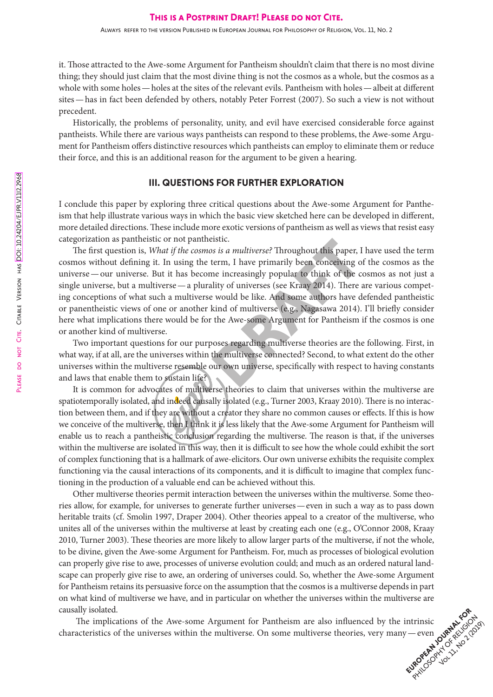it. Those attracted to the Awe-some Argument for Pantheism shouldn't claim that there is no most divine thing; they should just claim that the most divine thing is not the cosmos as a whole, but the cosmos as a whole with some holes—holes at the sites of the relevant evils. Pantheism with holes—albeit at different sites—has in fact been defended by others, notably Peter Forrest (2007). So such a view is not without precedent.

Historically, the problems of personality, unity, and evil have exercised considerable force against pantheists. While there are various ways pantheists can respond to these problems, the Awe-some Argument for Pantheism offers distinctive resources which pantheists can employ to eliminate them or reduce their force, and this is an additional reason for the argument to be given a hearing.

## III. QUESTIONS FOR FURTHER EXPLORATION

I conclude this paper by exploring three critical questions about the Awe-some Argument for Pantheism that help illustrate various ways in which the basic view sketched here can be developed in different, more detailed directions. These include more exotic versions of pantheism as well as views that resist easy categorization as pantheistic or not pantheistic.

Processor and this paper, issue.<br>
Iterm, I have primarily been conceiving connections of the contraction of this of the contraction of this of the collity of universes (see Kraay 2014). There would be like. And some author The first question is, *What if the cosmos is a multiverse?* Throughout this paper, I have used the term cosmos without defining it. In using the term, I have primarily been conceiving of the cosmos as the universe—our universe. But it has become increasingly popular to think of the cosmos as not just a single universe, but a multiverse—a plurality of universes (see Kraay 2014). There are various competing conceptions of what such a multiverse would be like. And some authors have defended pantheistic or panentheistic views of one or another kind of multiverse (e.g., Nagasawa 2014). I'll briefly consider here what implications there would be for the Awe-some Argument for Pantheism if the cosmos is one or another kind of multiverse.

Two important questions for our purposes regarding multiverse theories are the following. First, in what way, if at all, are the universes within the multiverse connected? Second, to what extent do the other universes within the multiverse resemble our own universe, specifically with respect to having constants and laws that enable them to sustain life?

It is common for advocates of multiverse theories to claim that universes within the multiverse are spatiotemporally isolated, and indeed causally isolated (e.g., Turner 2003, Kraay 2010). There is no interaction between them, and if they are without a creator they share no common causes or effects. If this is how we conceive of the multiverse, then I think it is less likely that the Awe-some Argument for Pantheism will enable us to reach a pantheistic conclusion regarding the multiverse. The reason is that, if the universes within the multiverse are isolated in this way, then it is difficult to see how the whole could exhibit the sort of complex functioning that is a hallmark of awe-elicitors. Our own universe exhibits the requisite complex functioning via the causal interactions of its components, and it is difficult to imagine that complex functioning in the production of a valuable end can be achieved without this.

Other multiverse theories permit interaction between the universes within the multiverse. Some theories allow, for example, for universes to generate further universes—even in such a way as to pass down heritable traits (cf. Smolin 1997, Draper 2004). Other theories appeal to a creator of the multiverse, who unites all of the universes within the multiverse at least by creating each one (e.g., O'Connor 2008, Kraay 2010, Turner 2003). These theories are more likely to allow larger parts of the multiverse, if not the whole, to be divine, given the Awe-some Argument for Pantheism. For, much as processes of biological evolution can properly give rise to awe, processes of universe evolution could; and much as an ordered natural landscape can properly give rise to awe, an ordering of universes could. So, whether the Awe-some Argument for Pantheism retains its persuasive force on the assumption that the cosmos is a multiverse depends in part on what kind of multiverse we have, and in particular on whether the universes within the multiverse are causally isolated.

ntrinsic exercices The implications of the Awe-some Argument for Pantheism are also influenced by the intrinsic characteristics of the universes within the multiverse. On some multiverse theories, very many—even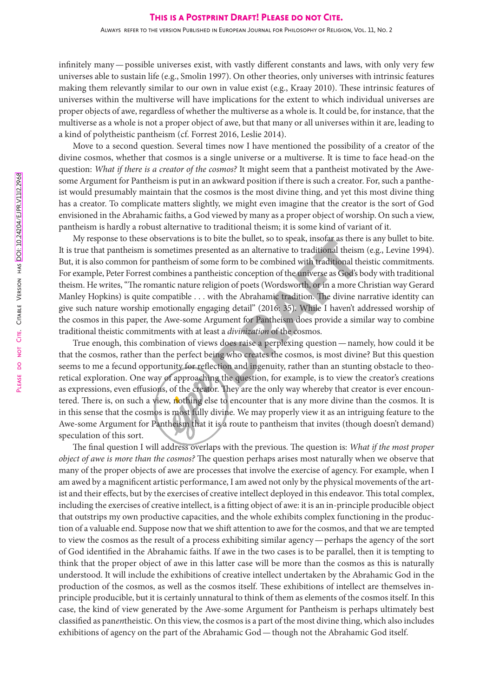infinitely many—possible universes exist, with vastly different constants and laws, with only very few universes able to sustain life (e.g., Smolin 1997). On other theories, only universes with intrinsic features making them relevantly similar to our own in value exist (e.g., Kraay 2010). These intrinsic features of universes within the multiverse will have implications for the extent to which individual universes are proper objects of awe, regardless of whether the multiverse as a whole is. It could be, for instance, that the multiverse as a whole is not a proper object of awe, but that many or all universes within it are, leading to a kind of polytheistic pantheism (cf. Forrest 2016, Leslie 2014).

Move to a second question. Several times now I have mentioned the possibility of a creator of the divine cosmos, whether that cosmos is a single universe or a multiverse. It is time to face head-on the question: *What if there is a creator of the cosmos?* It might seem that a pantheist motivated by the Awesome Argument for Pantheism is put in an awkward position if there is such a creator. For, such a pantheist would presumably maintain that the cosmos is the most divine thing, and yet this most divine thing has a creator. To complicate matters slightly, we might even imagine that the creator is the sort of God envisioned in the Abrahamic faiths, a God viewed by many as a proper object of worship. On such a view, pantheism is hardly a robust alternative to traditional theism; it is some kind of variant of it.

bute the bullet, so to speak, insolar as there<br>ented as an alternative to traditional theism<br>me form to be combined with traditional th<br>heistic conception of the universe as God's l<br>igion of poets (Wordsworth, or in a more My response to these observations is to bite the bullet, so to speak, insofar as there is any bullet to bite. It is true that pantheism is sometimes presented as an alternative to traditional theism (e.g., Levine 1994). But, it is also common for pantheism of some form to be combined with traditional theistic commitments. For example, Peter Forrest combines a pantheistic conception of the universe as God's body with traditional theism. He writes, "The romantic nature religion of poets (Wordsworth, or in a more Christian way Gerard Manley Hopkins) is quite compatible . . . with the Abrahamic tradition. The divine narrative identity can give such nature worship emotionally engaging detail" (2016: 35). While I haven't addressed worship of the cosmos in this paper, the Awe-some Argument for Pantheism does provide a similar way to combine traditional theistic commitments with at least a *divinization* of the cosmos.

True enough, this combination of views does raise a perplexing question—namely, how could it be that the cosmos, rather than the perfect being who creates the cosmos, is most divine? But this question seems to me a fecund opportunity for reflection and ingenuity, rather than an stunting obstacle to theoretical exploration. One way of approaching the question, for example, is to view the creator's creations as expressions, even effusions, of the creator. They are the only way whereby that creator is ever encountered. There is, on such a view, nothing else to encounter that is any more divine than the cosmos. It is in this sense that the cosmos is most fully divine. We may properly view it as an intriguing feature to the Awe-some Argument for Pantheism that it is a route to pantheism that invites (though doesn't demand) speculation of this sort.

The final question I will address overlaps with the previous. The question is: *What if the most proper object of awe is more than the cosmos?* The question perhaps arises most naturally when we observe that many of the proper objects of awe are processes that involve the exercise of agency. For example, when I am awed by a magnificent artistic performance, I am awed not only by the physical movements of the artist and their effects, but by the exercises of creative intellect deployed in this endeavor. This total complex, including the exercises of creative intellect, is a fitting object of awe: it is an in-principle producible object that outstrips my own productive capacities, and the whole exhibits complex functioning in the production of a valuable end. Suppose now that we shift attention to awe for the cosmos, and that we are tempted to view the cosmos as the result of a process exhibiting similar agency—perhaps the agency of the sort of God identified in the Abrahamic faiths. If awe in the two cases is to be parallel, then it is tempting to think that the proper object of awe in this latter case will be more than the cosmos as this is naturally understood. It will include the exhibitions of creative intellect undertaken by the Abrahamic God in the production of the cosmos, as well as the cosmos itself. These exhibitions of intellect are themselves inprinciple producible, but it is certainly unnatural to think of them as elements of the cosmos itself. In this case, the kind of view generated by the Awe-some Argument for Pantheism is perhaps ultimately best classified as pan*en*theistic. On this view, the cosmos is a part of the most divine thing, which also includes exhibitions of agency on the part of the Abrahamic God—though not the Abrahamic God itself.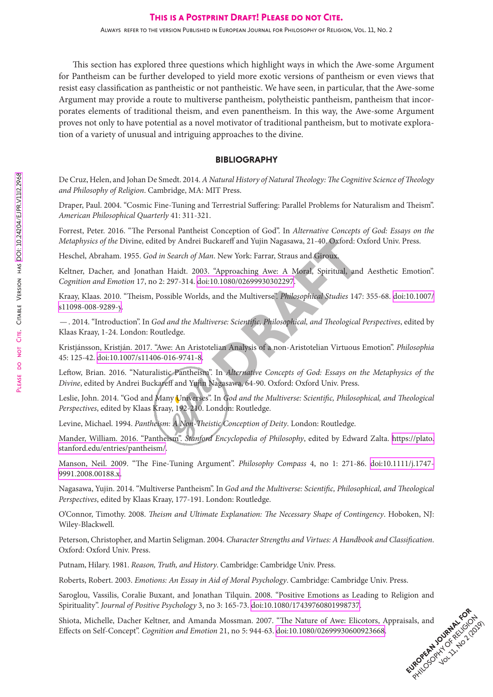This section has explored three questions which highlight ways in which the Awe-some Argument for Pantheism can be further developed to yield more exotic versions of pantheism or even views that resist easy classification as pantheistic or not pantheistic. We have seen, in particular, that the Awe-some Argument may provide a route to multiverse pantheism, polytheistic pantheism, pantheism that incorporates elements of traditional theism, and even panentheism. In this way, the Awe-some Argument proves not only to have potential as a novel motivator of traditional pantheism, but to motivate exploration of a variety of unusual and intriguing approaches to the divine.

### BIBLIOGRAPHY

De Cruz, Helen, and Johan De Smedt. 2014. *A Natural History of Natural Theology: The Cognitive Science of Theology and Philosophy of Religion*. Cambridge, MA: MIT Press.

Draper, Paul. 2004. "Cosmic Fine-Tuning and Terrestrial Suffering: Parallel Problems for Naturalism and Theism". *American Philosophical Quarterly* 41: 311-321.

Forrest, Peter. 2016. "The Personal Pantheist Conception of God". In *Alternative Concepts of God: Essays on the Metaphysics of the* Divine, edited by Andrei Buckareff and Yujin Nagasawa, 21-40. Oxford: Oxford Univ. Press.

Heschel, Abraham. 1955. *God in Search of Man*. New York: Farrar, Straus and Giroux.

ckareff and Yujin Nagasawa, 21-40. Oxford: C<br>
1. New York: Farrar, Straus and Giroux.<br>
"Approaching Awe: A Moral, Spiritual, and<br>
10.1080/02699930302297.<br>
and the Multiverse". Philosophical Studies 147<br>
verse: Scientific, Keltner, Dacher, and Jonathan Haidt. 2003. "Approaching Awe: A Moral, Spiritual, and Aesthetic Emotion". *Cognition and Emotion* 17, no 2: 297-314. doi:10.1080/02699930302297.

Kraay, Klaas. 2010. "Theism, Possible Worlds, and the Multiverse". *Philosophical Studies* 147: 355-68. [doi:10.1007/](https://doi.org/10.1007/s11098-008-9289-y) [s11098-008-9289-y.](https://doi.org/10.1007/s11098-008-9289-y)

—. 2014. "Introduction". In *God and the Multiverse: Scientific, Philosophical, and Theological Perspectives*, edited by Klaas Kraay, 1-24. London: Routledge.

Kristjánsson, Kristján. 2017. "Awe: An Aristotelian Analysis of a non-Aristotelian Virtuous Emotion". *Philosophia* 45: 125-42. [doi:10.1007/s11406-016-9741-8](https://doi.org/10.1007/s11406-016-9741-8).

Leftow, Brian. 2016. "Naturalistic Pantheism". In *Alternative Concepts of God: Essays on the Metaphysics of the Divine*, edited by Andrei Buckareff and Yujin Nagasawa, 64-90. Oxford: Oxford Univ. Press.

Leslie, John. 2014. "God and Many Universes". In *God and the Multiverse: Scientific, Philosophical, and Theological Perspectives*, edited by Klaas Kraay, 192-210. London: Routledge.

Levine, Michael. 1994. *Pantheism: A Non-Theistic Conception of Deity*. London: Routledge.

Mander, William. 2016. "Pantheism". *Stanford Encyclopedia of Philosophy*, edited by Edward Zalta. [https://plato.](https://plato.stanford.edu/entries/pantheism/) [stanford.edu/entries/pantheism/](https://plato.stanford.edu/entries/pantheism/).

Manson, Neil. 2009. "The Fine-Tuning Argument". *Philosophy Compass* 4, no 1: 271-86. [doi:10.1111/j.1747-](https://doi.org/10.1111/j.1747-9991.2008.00188.x) [9991.2008.00188.x.](https://doi.org/10.1111/j.1747-9991.2008.00188.x)

Nagasawa, Yujin. 2014. "Multiverse Pantheism". In *God and the Multiverse: Scientific, Philosophical, and Theological Perspectives*, edited by Klaas Kraay, 177-191. London: Routledge.

O'Connor, Timothy. 2008. *Theism and Ultimate Explanation: The Necessary Shape of Contingency*. Hoboken, NJ: Wiley-Blackwell.

Peterson, Christopher, and Martin Seligman. 2004. *Character Strengths and Virtues: A Handbook and Classification*. Oxford: Oxford Univ. Press.

Putnam, Hilary. 1981. *Reason, Truth, and History*. Cambridge: Cambridge Univ. Press.

Roberts, Robert. 2003. *Emotions: An Essay in Aid of Moral Psychology*. Cambridge: Cambridge Univ. Press.

Saroglou, Vassilis, Coralie Buxant, and Jonathan Tilquin. 2008. "Positive Emotions as Leading to Religion and Spirituality". *Journal of Positive Psychology* 3, no 3: 165-73. [doi:10.1080/17439760801998737](https://doi.org/10.1080/17439760801998737).

sals, and **Journal Rivers** Shiota, Michelle, Dacher Keltner, and Amanda Mossman. 2007. "The Nature of Awe: Elicotors, Appraisals, and Effects on Self-Concept". *Cognition and Emotion* 21, no 5: 944-63. [doi:10.1080/02699930600923668.](https://doi.org/10.1080/02699930600923668)